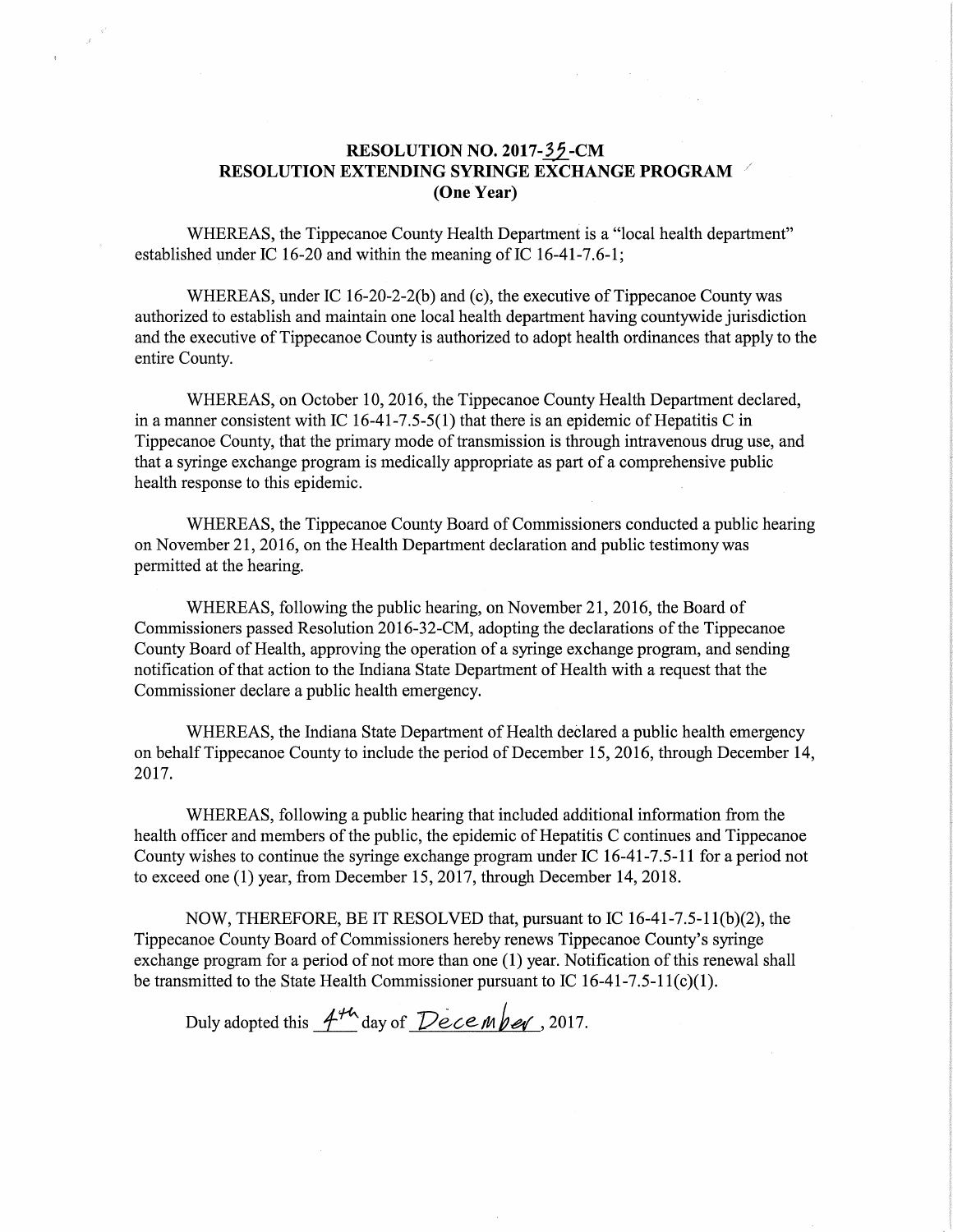## RESOLUTION NO. 2017-35-CM RESOLUTION EXTENDING SYRINGE EXCHANGE PROGRAM (One Year)

WHEREAS, the Tippecanoe County Health Department is <sup>a</sup> "local health department" established under IC 16-20 and within the meaning of IC 16-41-7.6-1;

WHEREAS, under IC 16-20-2-2(b) and (c), the executive of Tippecanoe County was authorized to establish and maintain one local health department having countywide jurisdiction and the executive of Tippecanoe County is authorized to adopt health ordinances that apply to the entire County.

WHEREAS, on October 10, 2016, the Tippecanoe County Health Department declared, in a manner consistent with IC 16-41-7.5-5(1) that there is an epidemic of Hepatitis C in Tippecanoe County, that the primary mode of transmission is through intravenous drug use, and that <sup>a</sup> syringe exchange program is medically appropriate as part of <sup>a</sup> comprehensive public health response to this epidemic.

WHEREAS, the Tippecanoe County Board of Commissioners conducted <sup>a</sup> public hearing on November 21, 2016, on the Health Department declaration and public testimony was permitted at the hearing.

WHEREAS, following the public hearing, on November 21, 2016, the Board of Commissioners passed Resolution 2016-32-CM, adopting the declarations of the Tippecanoe County Board of Health, approving the operation of <sup>a</sup> syringe exchange program, and sending notification of that action to the Indiana State Department of Health with <sup>a</sup> request that the Commissioner declare <sup>a</sup> public health emergency.

WHEREAS, the Indiana State Department of Health declared a public health emergency on behalf Tippecanoe County to include the period of December 15, 2016, through December 14, 2017.

WHEREAS, following a public hearing that included additional information from the health officer and members of the public, the epidemic of Hepatitis C continues and Tippecanoe County wishes to continue the syringe exchange program under IC 16-41-7.5-11 fora period not to exceed one (1) year, from December 15, 2017, through December 14, 2018.

NOW, THEREFORE, BE IT RESOLVED that, pursuant to IC 16—41—7.5-l 1(b)(2), the Tippecanoe County Board of Commissioners hereby renews Tippecanoe County's syringe exchange program for <sup>a</sup> period of not more than one (1) year. Notification of this renewal shall be transmitted to the State Health Commissioner pursuant to IC 16-41-7.5-11(c)(1).

Duly adopted this  $A^{\mu\nu}$  day of December, 2017.